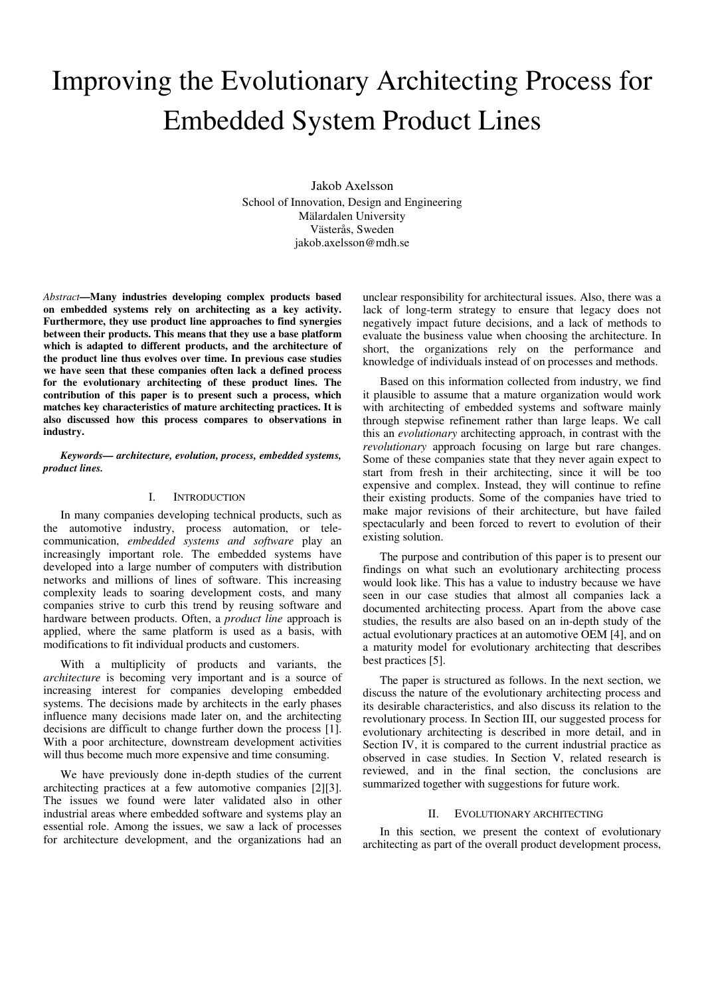# Improving the Evolutionary Architecting Process for Embedded System Product Lines

Jakob Axelsson School of Innovation, Design and Engineering Mälardalen University Västerås, Sweden jakob.axelsson@mdh.se

*Abstract***—Many industries developing complex products based on embedded systems rely on architecting as a key activity. Furthermore, they use product line approaches to find synergies between their products. This means that they use a base platform which is adapted to different products, and the architecture of the product line thus evolves over time. In previous case studies we have seen that these companies often lack a defined process for the evolutionary architecting of these product lines. The contribution of this paper is to present such a process, which matches key characteristics of mature architecting practices. It is also discussed how this process compares to observations in industry.** 

#### *Keywords— architecture, evolution, process, embedded systems, product lines.*

## I. INTRODUCTION

In many companies developing technical products, such as the automotive industry, process automation, or telecommunication, *embedded systems and software* play an increasingly important role. The embedded systems have developed into a large number of computers with distribution networks and millions of lines of software. This increasing complexity leads to soaring development costs, and many companies strive to curb this trend by reusing software and hardware between products. Often, a *product line* approach is applied, where the same platform is used as a basis, with modifications to fit individual products and customers.

With a multiplicity of products and variants, the *architecture* is becoming very important and is a source of increasing interest for companies developing embedded systems. The decisions made by architects in the early phases influence many decisions made later on, and the architecting decisions are difficult to change further down the process [1]. With a poor architecture, downstream development activities will thus become much more expensive and time consuming.

We have previously done in-depth studies of the current architecting practices at a few automotive companies [2][3]. The issues we found were later validated also in other industrial areas where embedded software and systems play an essential role. Among the issues, we saw a lack of processes for architecture development, and the organizations had an unclear responsibility for architectural issues. Also, there was a lack of long-term strategy to ensure that legacy does not negatively impact future decisions, and a lack of methods to evaluate the business value when choosing the architecture. In short, the organizations rely on the performance and knowledge of individuals instead of on processes and methods.

Based on this information collected from industry, we find it plausible to assume that a mature organization would work with architecting of embedded systems and software mainly through stepwise refinement rather than large leaps. We call this an *evolutionary* architecting approach, in contrast with the *revolutionary* approach focusing on large but rare changes. Some of these companies state that they never again expect to start from fresh in their architecting, since it will be too expensive and complex. Instead, they will continue to refine their existing products. Some of the companies have tried to make major revisions of their architecture, but have failed spectacularly and been forced to revert to evolution of their existing solution.

The purpose and contribution of this paper is to present our findings on what such an evolutionary architecting process would look like. This has a value to industry because we have seen in our case studies that almost all companies lack a documented architecting process. Apart from the above case studies, the results are also based on an in-depth study of the actual evolutionary practices at an automotive OEM [4], and on a maturity model for evolutionary architecting that describes best practices [5].

The paper is structured as follows. In the next section, we discuss the nature of the evolutionary architecting process and its desirable characteristics, and also discuss its relation to the revolutionary process. In Section III, our suggested process for evolutionary architecting is described in more detail, and in Section IV, it is compared to the current industrial practice as observed in case studies. In Section V, related research is reviewed, and in the final section, the conclusions are summarized together with suggestions for future work.

## II. EVOLUTIONARY ARCHITECTING

In this section, we present the context of evolutionary architecting as part of the overall product development process,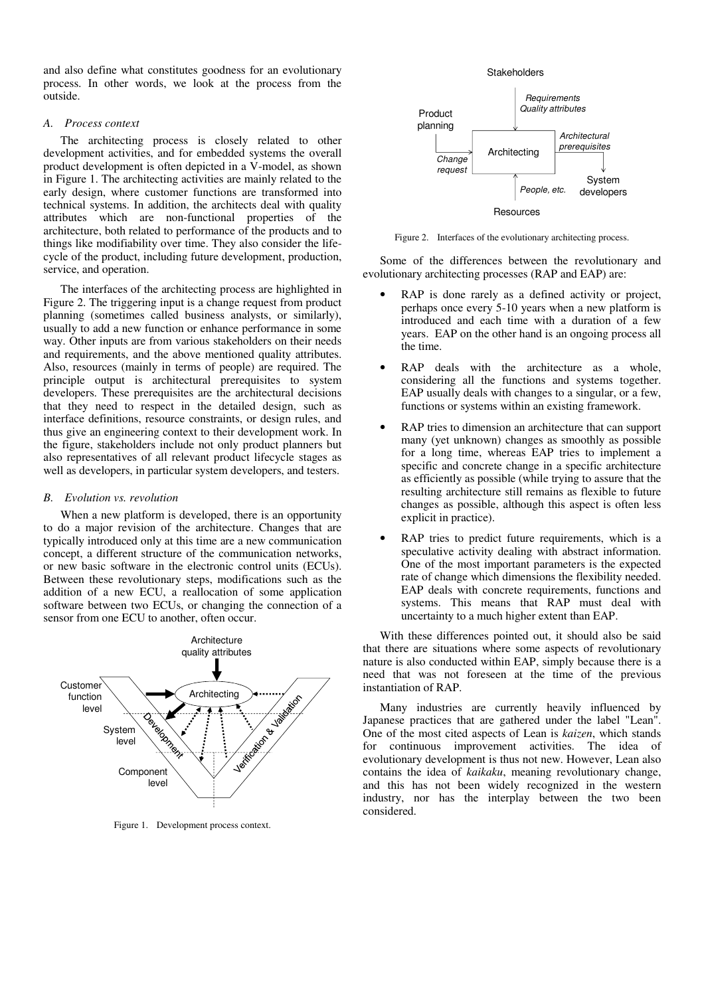and also define what constitutes goodness for an evolutionary process. In other words, we look at the process from the outside.

## *A. Process context*

The architecting process is closely related to other development activities, and for embedded systems the overall product development is often depicted in a V-model, as shown in Figure 1. The architecting activities are mainly related to the early design, where customer functions are transformed into technical systems. In addition, the architects deal with quality attributes which are non-functional properties of the architecture, both related to performance of the products and to things like modifiability over time. They also consider the lifecycle of the product, including future development, production, service, and operation.

The interfaces of the architecting process are highlighted in Figure 2. The triggering input is a change request from product planning (sometimes called business analysts, or similarly), usually to add a new function or enhance performance in some way. Other inputs are from various stakeholders on their needs and requirements, and the above mentioned quality attributes. Also, resources (mainly in terms of people) are required. The principle output is architectural prerequisites to system developers. These prerequisites are the architectural decisions that they need to respect in the detailed design, such as interface definitions, resource constraints, or design rules, and thus give an engineering context to their development work. In the figure, stakeholders include not only product planners but also representatives of all relevant product lifecycle stages as well as developers, in particular system developers, and testers.

## *B. Evolution vs. revolution*

When a new platform is developed, there is an opportunity to do a major revision of the architecture. Changes that are typically introduced only at this time are a new communication concept, a different structure of the communication networks, or new basic software in the electronic control units (ECUs). Between these revolutionary steps, modifications such as the addition of a new ECU, a reallocation of some application software between two ECUs, or changing the connection of a sensor from one ECU to another, often occur.



Figure 1. Development process context.



Figure 2. Interfaces of the evolutionary architecting process.

Some of the differences between the revolutionary and evolutionary architecting processes (RAP and EAP) are:

- RAP is done rarely as a defined activity or project, perhaps once every 5-10 years when a new platform is introduced and each time with a duration of a few years. EAP on the other hand is an ongoing process all the time.
- RAP deals with the architecture as a whole, considering all the functions and systems together. EAP usually deals with changes to a singular, or a few, functions or systems within an existing framework.
- RAP tries to dimension an architecture that can support many (yet unknown) changes as smoothly as possible for a long time, whereas EAP tries to implement a specific and concrete change in a specific architecture as efficiently as possible (while trying to assure that the resulting architecture still remains as flexible to future changes as possible, although this aspect is often less explicit in practice).
- RAP tries to predict future requirements, which is a speculative activity dealing with abstract information. One of the most important parameters is the expected rate of change which dimensions the flexibility needed. EAP deals with concrete requirements, functions and systems. This means that RAP must deal with uncertainty to a much higher extent than EAP.

With these differences pointed out, it should also be said that there are situations where some aspects of revolutionary nature is also conducted within EAP, simply because there is a need that was not foreseen at the time of the previous instantiation of RAP.

Many industries are currently heavily influenced by Japanese practices that are gathered under the label "Lean". One of the most cited aspects of Lean is *kaizen*, which stands for continuous improvement activities. The idea of evolutionary development is thus not new. However, Lean also contains the idea of *kaikaku*, meaning revolutionary change, and this has not been widely recognized in the western industry, nor has the interplay between the two been considered.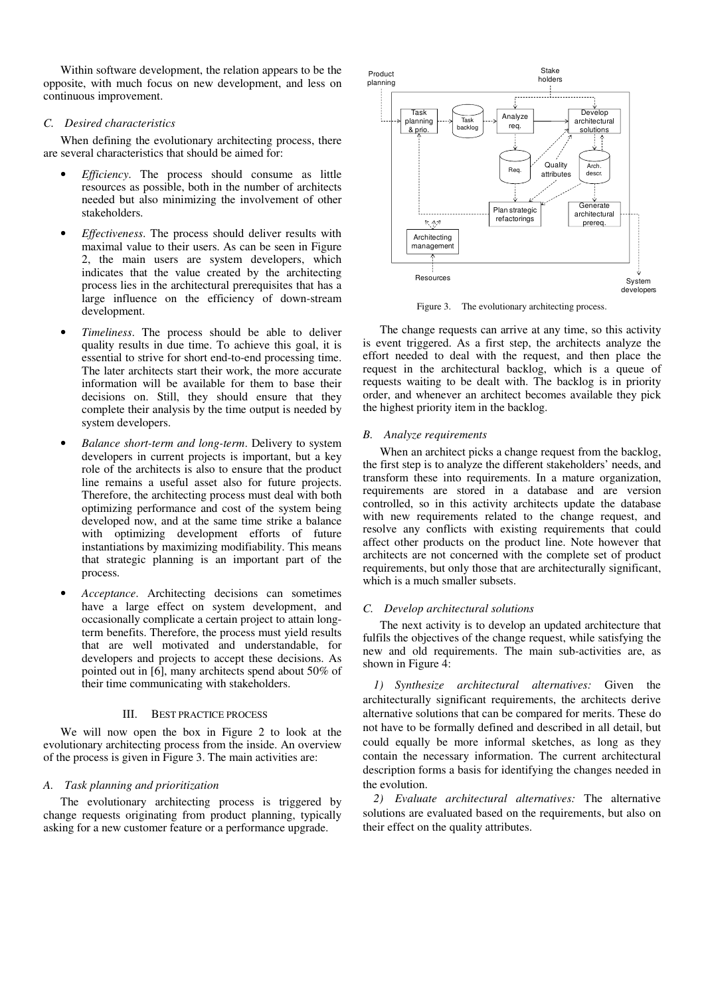Within software development, the relation appears to be the opposite, with much focus on new development, and less on continuous improvement.

# *C. Desired characteristics*

When defining the evolutionary architecting process, there are several characteristics that should be aimed for:

- *Efficiency*. The process should consume as little resources as possible, both in the number of architects needed but also minimizing the involvement of other stakeholders.
- *Effectiveness*. The process should deliver results with maximal value to their users. As can be seen in Figure 2, the main users are system developers, which indicates that the value created by the architecting process lies in the architectural prerequisites that has a large influence on the efficiency of down-stream development.
- *Timeliness*. The process should be able to deliver quality results in due time. To achieve this goal, it is essential to strive for short end-to-end processing time. The later architects start their work, the more accurate information will be available for them to base their decisions on. Still, they should ensure that they complete their analysis by the time output is needed by system developers.
- *Balance short-term and long-term*. Delivery to system developers in current projects is important, but a key role of the architects is also to ensure that the product line remains a useful asset also for future projects. Therefore, the architecting process must deal with both optimizing performance and cost of the system being developed now, and at the same time strike a balance with optimizing development efforts of future instantiations by maximizing modifiability. This means that strategic planning is an important part of the process.
- *Acceptance*. Architecting decisions can sometimes have a large effect on system development, and occasionally complicate a certain project to attain longterm benefits. Therefore, the process must yield results that are well motivated and understandable, for developers and projects to accept these decisions. As pointed out in [6], many architects spend about 50% of their time communicating with stakeholders.

# III. BEST PRACTICE PROCESS

We will now open the box in Figure 2 to look at the evolutionary architecting process from the inside. An overview of the process is given in Figure 3. The main activities are:

# *A. Task planning and prioritization*

The evolutionary architecting process is triggered by change requests originating from product planning, typically asking for a new customer feature or a performance upgrade.



Figure 3. The evolutionary architecting process.

The change requests can arrive at any time, so this activity is event triggered. As a first step, the architects analyze the effort needed to deal with the request, and then place the request in the architectural backlog, which is a queue of requests waiting to be dealt with. The backlog is in priority order, and whenever an architect becomes available they pick the highest priority item in the backlog.

## *B. Analyze requirements*

When an architect picks a change request from the backlog, the first step is to analyze the different stakeholders' needs, and transform these into requirements. In a mature organization, requirements are stored in a database and are version controlled, so in this activity architects update the database with new requirements related to the change request, and resolve any conflicts with existing requirements that could affect other products on the product line. Note however that architects are not concerned with the complete set of product requirements, but only those that are architecturally significant, which is a much smaller subsets.

# *C. Develop architectural solutions*

The next activity is to develop an updated architecture that fulfils the objectives of the change request, while satisfying the new and old requirements. The main sub-activities are, as shown in Figure 4:

*1) Synthesize architectural alternatives:* Given the architecturally significant requirements, the architects derive alternative solutions that can be compared for merits. These do not have to be formally defined and described in all detail, but could equally be more informal sketches, as long as they contain the necessary information. The current architectural description forms a basis for identifying the changes needed in the evolution.

*2) Evaluate architectural alternatives:* The alternative solutions are evaluated based on the requirements, but also on their effect on the quality attributes.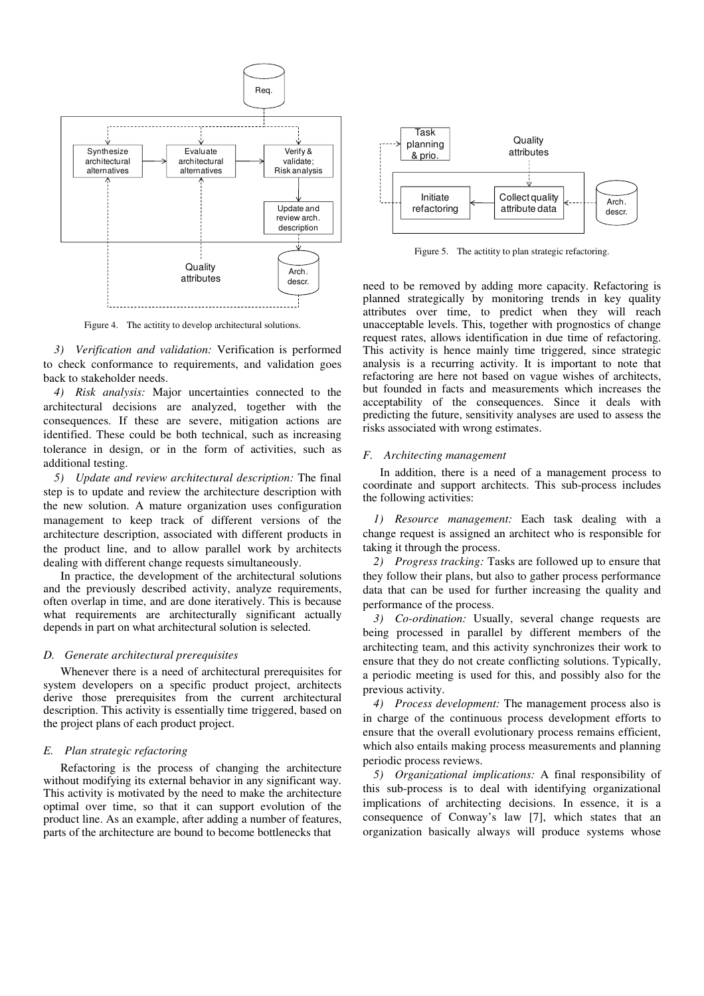

Figure 4. The actitity to develop architectural solutions.

*3) Verification and validation:* Verification is performed to check conformance to requirements, and validation goes back to stakeholder needs.

*4) Risk analysis:* Major uncertainties connected to the architectural decisions are analyzed, together with the consequences. If these are severe, mitigation actions are identified. These could be both technical, such as increasing tolerance in design, or in the form of activities, such as additional testing.

*5) Update and review architectural description:* The final step is to update and review the architecture description with the new solution. A mature organization uses configuration management to keep track of different versions of the architecture description, associated with different products in the product line, and to allow parallel work by architects dealing with different change requests simultaneously.

In practice, the development of the architectural solutions and the previously described activity, analyze requirements, often overlap in time, and are done iteratively. This is because what requirements are architecturally significant actually depends in part on what architectural solution is selected.

## *D. Generate architectural prerequisites*

Whenever there is a need of architectural prerequisites for system developers on a specific product project, architects derive those prerequisites from the current architectural description. This activity is essentially time triggered, based on the project plans of each product project.

## *E. Plan strategic refactoring*

Refactoring is the process of changing the architecture without modifying its external behavior in any significant way. This activity is motivated by the need to make the architecture optimal over time, so that it can support evolution of the product line. As an example, after adding a number of features, parts of the architecture are bound to become bottlenecks that



Figure 5. The actitity to plan strategic refactoring.

need to be removed by adding more capacity. Refactoring is planned strategically by monitoring trends in key quality attributes over time, to predict when they will reach unacceptable levels. This, together with prognostics of change request rates, allows identification in due time of refactoring. This activity is hence mainly time triggered, since strategic analysis is a recurring activity. It is important to note that refactoring are here not based on vague wishes of architects, but founded in facts and measurements which increases the acceptability of the consequences. Since it deals with predicting the future, sensitivity analyses are used to assess the risks associated with wrong estimates.

#### *F. Architecting management*

In addition, there is a need of a management process to coordinate and support architects. This sub-process includes the following activities:

*1) Resource management:* Each task dealing with a change request is assigned an architect who is responsible for taking it through the process.

*2) Progress tracking:* Tasks are followed up to ensure that they follow their plans, but also to gather process performance data that can be used for further increasing the quality and performance of the process.

*3) Co-ordination:* Usually, several change requests are being processed in parallel by different members of the architecting team, and this activity synchronizes their work to ensure that they do not create conflicting solutions. Typically, a periodic meeting is used for this, and possibly also for the previous activity.

*4) Process development:* The management process also is in charge of the continuous process development efforts to ensure that the overall evolutionary process remains efficient, which also entails making process measurements and planning periodic process reviews.

*5) Organizational implications:* A final responsibility of this sub-process is to deal with identifying organizational implications of architecting decisions. In essence, it is a consequence of Conway's law [7], which states that an organization basically always will produce systems whose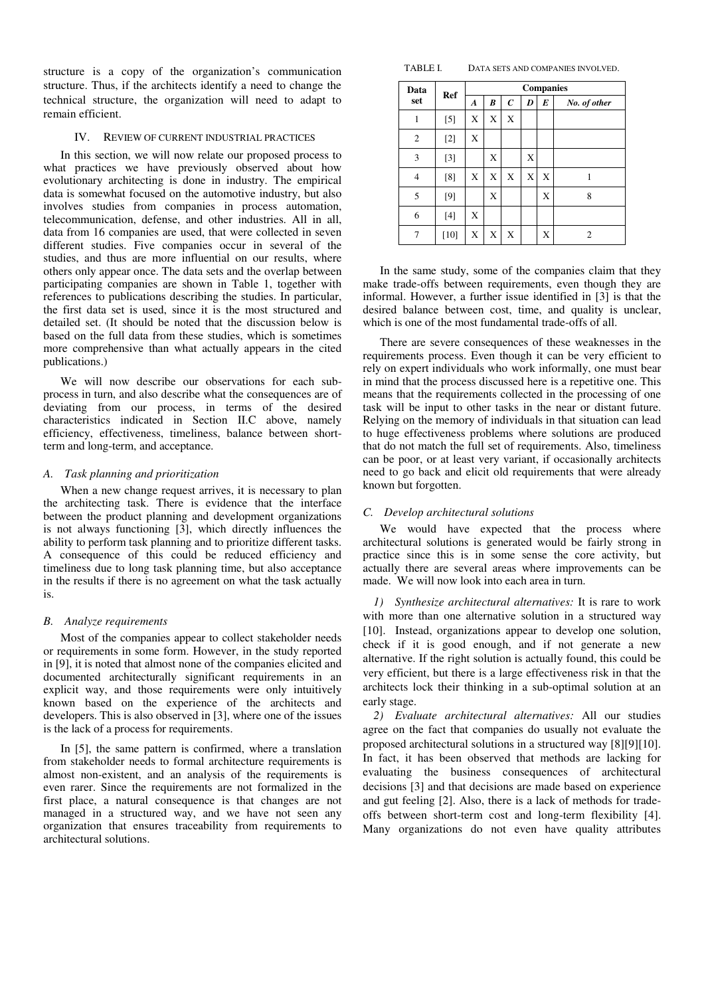structure is a copy of the organization's communication structure. Thus, if the architects identify a need to change the technical structure, the organization will need to adapt to remain efficient.

# IV. REVIEW OF CURRENT INDUSTRIAL PRACTICES

In this section, we will now relate our proposed process to what practices we have previously observed about how evolutionary architecting is done in industry. The empirical data is somewhat focused on the automotive industry, but also involves studies from companies in process automation, telecommunication, defense, and other industries. All in all, data from 16 companies are used, that were collected in seven different studies. Five companies occur in several of the studies, and thus are more influential on our results, where others only appear once. The data sets and the overlap between participating companies are shown in Table 1, together with references to publications describing the studies. In particular, the first data set is used, since it is the most structured and detailed set. (It should be noted that the discussion below is based on the full data from these studies, which is sometimes more comprehensive than what actually appears in the cited publications.)

We will now describe our observations for each subprocess in turn, and also describe what the consequences are of deviating from our process, in terms of the desired characteristics indicated in Section II.C above, namely efficiency, effectiveness, timeliness, balance between shortterm and long-term, and acceptance.

## *A. Task planning and prioritization*

When a new change request arrives, it is necessary to plan the architecting task. There is evidence that the interface between the product planning and development organizations is not always functioning [3], which directly influences the ability to perform task planning and to prioritize different tasks. A consequence of this could be reduced efficiency and timeliness due to long task planning time, but also acceptance in the results if there is no agreement on what the task actually is.

# *B. Analyze requirements*

Most of the companies appear to collect stakeholder needs or requirements in some form. However, in the study reported in [9], it is noted that almost none of the companies elicited and documented architecturally significant requirements in an explicit way, and those requirements were only intuitively known based on the experience of the architects and developers. This is also observed in [3], where one of the issues is the lack of a process for requirements.

In [5], the same pattern is confirmed, where a translation from stakeholder needs to formal architecture requirements is almost non-existent, and an analysis of the requirements is even rarer. Since the requirements are not formalized in the first place, a natural consequence is that changes are not managed in a structured way, and we have not seen any organization that ensures traceability from requirements to architectural solutions.

| Data<br>set    | Ref    | <b>Companies</b> |   |                  |   |   |              |
|----------------|--------|------------------|---|------------------|---|---|--------------|
|                |        | $\boldsymbol{A}$ | B | $\boldsymbol{C}$ | D | E | No. of other |
| 1              | $[5]$  | X                | X | X                |   |   |              |
| $\overline{c}$ | $[2]$  | X                |   |                  |   |   |              |
| 3              | $[3]$  |                  | X |                  | X |   |              |
| 4              | [8]    | X                | X | X                | X | X |              |
| 5              | $[9]$  |                  | X |                  |   | X | 8            |
| 6              | $[4]$  | X                |   |                  |   |   |              |
| 7              | $[10]$ | X                | X | X                |   | X | 2            |

In the same study, some of the companies claim that they make trade-offs between requirements, even though they are informal. However, a further issue identified in [3] is that the desired balance between cost, time, and quality is unclear, which is one of the most fundamental trade-offs of all.

There are severe consequences of these weaknesses in the requirements process. Even though it can be very efficient to rely on expert individuals who work informally, one must bear in mind that the process discussed here is a repetitive one. This means that the requirements collected in the processing of one task will be input to other tasks in the near or distant future. Relying on the memory of individuals in that situation can lead to huge effectiveness problems where solutions are produced that do not match the full set of requirements. Also, timeliness can be poor, or at least very variant, if occasionally architects need to go back and elicit old requirements that were already known but forgotten.

# *C. Develop architectural solutions*

We would have expected that the process where architectural solutions is generated would be fairly strong in practice since this is in some sense the core activity, but actually there are several areas where improvements can be made. We will now look into each area in turn.

*1) Synthesize architectural alternatives:* It is rare to work with more than one alternative solution in a structured way [10]. Instead, organizations appear to develop one solution, check if it is good enough, and if not generate a new alternative. If the right solution is actually found, this could be very efficient, but there is a large effectiveness risk in that the architects lock their thinking in a sub-optimal solution at an early stage.

*2) Evaluate architectural alternatives:* All our studies agree on the fact that companies do usually not evaluate the proposed architectural solutions in a structured way [8][9][10]. In fact, it has been observed that methods are lacking for evaluating the business consequences of architectural decisions [3] and that decisions are made based on experience and gut feeling [2]. Also, there is a lack of methods for tradeoffs between short-term cost and long-term flexibility [4]. Many organizations do not even have quality attributes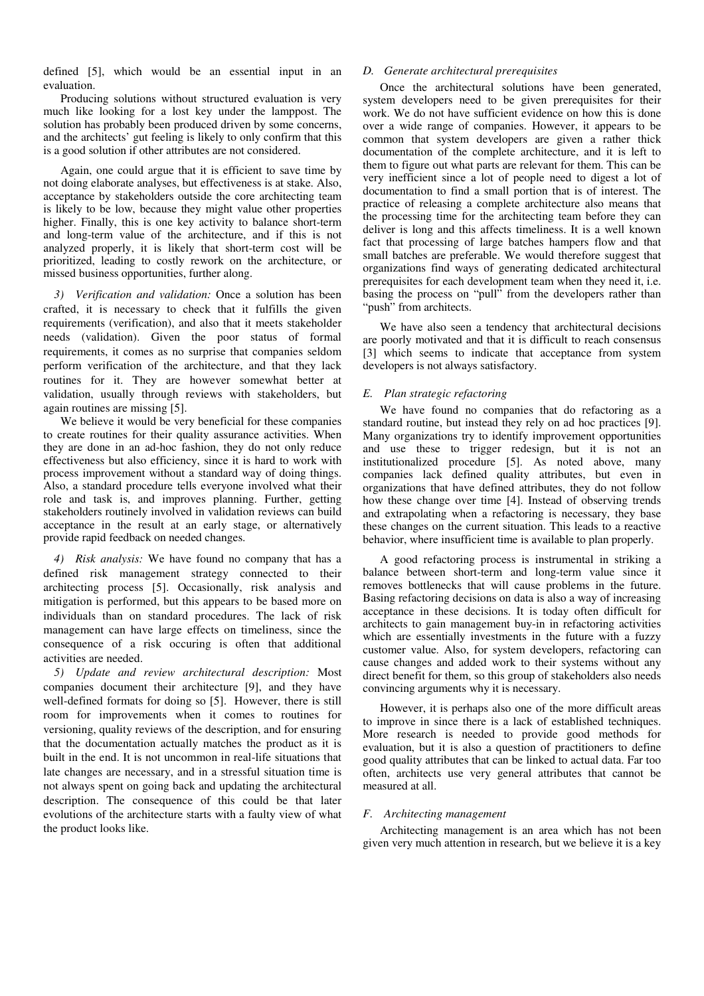defined [5], which would be an essential input in an evaluation.

Producing solutions without structured evaluation is very much like looking for a lost key under the lamppost. The solution has probably been produced driven by some concerns, and the architects' gut feeling is likely to only confirm that this is a good solution if other attributes are not considered.

Again, one could argue that it is efficient to save time by not doing elaborate analyses, but effectiveness is at stake. Also, acceptance by stakeholders outside the core architecting team is likely to be low, because they might value other properties higher. Finally, this is one key activity to balance short-term and long-term value of the architecture, and if this is not analyzed properly, it is likely that short-term cost will be prioritized, leading to costly rework on the architecture, or missed business opportunities, further along.

*3) Verification and validation:* Once a solution has been crafted, it is necessary to check that it fulfills the given requirements (verification), and also that it meets stakeholder needs (validation). Given the poor status of formal requirements, it comes as no surprise that companies seldom perform verification of the architecture, and that they lack routines for it. They are however somewhat better at validation, usually through reviews with stakeholders, but again routines are missing [5].

We believe it would be very beneficial for these companies to create routines for their quality assurance activities. When they are done in an ad-hoc fashion, they do not only reduce effectiveness but also efficiency, since it is hard to work with process improvement without a standard way of doing things. Also, a standard procedure tells everyone involved what their role and task is, and improves planning. Further, getting stakeholders routinely involved in validation reviews can build acceptance in the result at an early stage, or alternatively provide rapid feedback on needed changes.

*4) Risk analysis:* We have found no company that has a defined risk management strategy connected to their architecting process [5]. Occasionally, risk analysis and mitigation is performed, but this appears to be based more on individuals than on standard procedures. The lack of risk management can have large effects on timeliness, since the consequence of a risk occuring is often that additional activities are needed.

*5) Update and review architectural description:* Most companies document their architecture [9], and they have well-defined formats for doing so [5]. However, there is still room for improvements when it comes to routines for versioning, quality reviews of the description, and for ensuring that the documentation actually matches the product as it is built in the end. It is not uncommon in real-life situations that late changes are necessary, and in a stressful situation time is not always spent on going back and updating the architectural description. The consequence of this could be that later evolutions of the architecture starts with a faulty view of what the product looks like.

## *D. Generate architectural prerequisites*

Once the architectural solutions have been generated, system developers need to be given prerequisites for their work. We do not have sufficient evidence on how this is done over a wide range of companies. However, it appears to be common that system developers are given a rather thick documentation of the complete architecture, and it is left to them to figure out what parts are relevant for them. This can be very inefficient since a lot of people need to digest a lot of documentation to find a small portion that is of interest. The practice of releasing a complete architecture also means that the processing time for the architecting team before they can deliver is long and this affects timeliness. It is a well known fact that processing of large batches hampers flow and that small batches are preferable. We would therefore suggest that organizations find ways of generating dedicated architectural prerequisites for each development team when they need it, i.e. basing the process on "pull" from the developers rather than "push" from architects.

We have also seen a tendency that architectural decisions are poorly motivated and that it is difficult to reach consensus [3] which seems to indicate that acceptance from system developers is not always satisfactory.

# *E. Plan strategic refactoring*

We have found no companies that do refactoring as a standard routine, but instead they rely on ad hoc practices [9]. Many organizations try to identify improvement opportunities and use these to trigger redesign, but it is not an institutionalized procedure [5]. As noted above, many companies lack defined quality attributes, but even in organizations that have defined attributes, they do not follow how these change over time [4]. Instead of observing trends and extrapolating when a refactoring is necessary, they base these changes on the current situation. This leads to a reactive behavior, where insufficient time is available to plan properly.

A good refactoring process is instrumental in striking a balance between short-term and long-term value since it removes bottlenecks that will cause problems in the future. Basing refactoring decisions on data is also a way of increasing acceptance in these decisions. It is today often difficult for architects to gain management buy-in in refactoring activities which are essentially investments in the future with a fuzzy customer value. Also, for system developers, refactoring can cause changes and added work to their systems without any direct benefit for them, so this group of stakeholders also needs convincing arguments why it is necessary.

However, it is perhaps also one of the more difficult areas to improve in since there is a lack of established techniques. More research is needed to provide good methods for evaluation, but it is also a question of practitioners to define good quality attributes that can be linked to actual data. Far too often, architects use very general attributes that cannot be measured at all.

## *F. Architecting management*

Architecting management is an area which has not been given very much attention in research, but we believe it is a key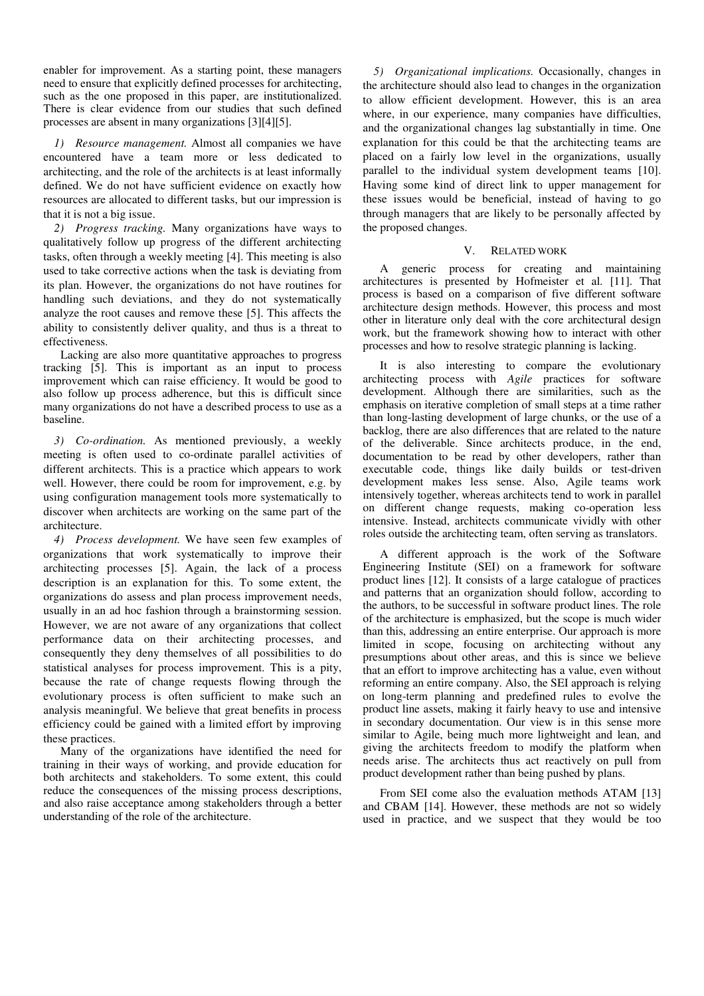enabler for improvement. As a starting point, these managers need to ensure that explicitly defined processes for architecting, such as the one proposed in this paper, are institutionalized. There is clear evidence from our studies that such defined processes are absent in many organizations [3][4][5].

*1) Resource management.* Almost all companies we have encountered have a team more or less dedicated to architecting, and the role of the architects is at least informally defined. We do not have sufficient evidence on exactly how resources are allocated to different tasks, but our impression is that it is not a big issue.

*2) Progress tracking.* Many organizations have ways to qualitatively follow up progress of the different architecting tasks, often through a weekly meeting [4]. This meeting is also used to take corrective actions when the task is deviating from its plan. However, the organizations do not have routines for handling such deviations, and they do not systematically analyze the root causes and remove these [5]. This affects the ability to consistently deliver quality, and thus is a threat to effectiveness.

Lacking are also more quantitative approaches to progress tracking [5]. This is important as an input to process improvement which can raise efficiency. It would be good to also follow up process adherence, but this is difficult since many organizations do not have a described process to use as a baseline.

*3) Co-ordination.* As mentioned previously, a weekly meeting is often used to co-ordinate parallel activities of different architects. This is a practice which appears to work well. However, there could be room for improvement, e.g. by using configuration management tools more systematically to discover when architects are working on the same part of the architecture.

*4) Process development.* We have seen few examples of organizations that work systematically to improve their architecting processes [5]. Again, the lack of a process description is an explanation for this. To some extent, the organizations do assess and plan process improvement needs, usually in an ad hoc fashion through a brainstorming session. However, we are not aware of any organizations that collect performance data on their architecting processes, and consequently they deny themselves of all possibilities to do statistical analyses for process improvement. This is a pity, because the rate of change requests flowing through the evolutionary process is often sufficient to make such an analysis meaningful. We believe that great benefits in process efficiency could be gained with a limited effort by improving these practices.

Many of the organizations have identified the need for training in their ways of working, and provide education for both architects and stakeholders. To some extent, this could reduce the consequences of the missing process descriptions, and also raise acceptance among stakeholders through a better understanding of the role of the architecture.

*5) Organizational implications.* Occasionally, changes in the architecture should also lead to changes in the organization to allow efficient development. However, this is an area where, in our experience, many companies have difficulties, and the organizational changes lag substantially in time. One explanation for this could be that the architecting teams are placed on a fairly low level in the organizations, usually parallel to the individual system development teams [10]. Having some kind of direct link to upper management for these issues would be beneficial, instead of having to go through managers that are likely to be personally affected by the proposed changes.

# V. RELATED WORK

A generic process for creating and maintaining architectures is presented by Hofmeister et al. [11]. That process is based on a comparison of five different software architecture design methods. However, this process and most other in literature only deal with the core architectural design work, but the framework showing how to interact with other processes and how to resolve strategic planning is lacking.

It is also interesting to compare the evolutionary architecting process with *Agile* practices for software development. Although there are similarities, such as the emphasis on iterative completion of small steps at a time rather than long-lasting development of large chunks, or the use of a backlog, there are also differences that are related to the nature of the deliverable. Since architects produce, in the end, documentation to be read by other developers, rather than executable code, things like daily builds or test-driven development makes less sense. Also, Agile teams work intensively together, whereas architects tend to work in parallel on different change requests, making co-operation less intensive. Instead, architects communicate vividly with other roles outside the architecting team, often serving as translators.

A different approach is the work of the Software Engineering Institute (SEI) on a framework for software product lines [12]. It consists of a large catalogue of practices and patterns that an organization should follow, according to the authors, to be successful in software product lines. The role of the architecture is emphasized, but the scope is much wider than this, addressing an entire enterprise. Our approach is more limited in scope, focusing on architecting without any presumptions about other areas, and this is since we believe that an effort to improve architecting has a value, even without reforming an entire company. Also, the SEI approach is relying on long-term planning and predefined rules to evolve the product line assets, making it fairly heavy to use and intensive in secondary documentation. Our view is in this sense more similar to Agile, being much more lightweight and lean, and giving the architects freedom to modify the platform when needs arise. The architects thus act reactively on pull from product development rather than being pushed by plans.

From SEI come also the evaluation methods ATAM [13] and CBAM [14]. However, these methods are not so widely used in practice, and we suspect that they would be too